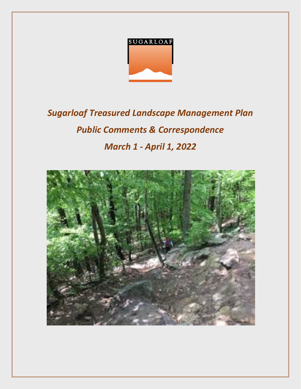

# *Sugarloaf Treasured Landscape Management Plan Public Comments & Correspondence March 1 - April 1, 2022*

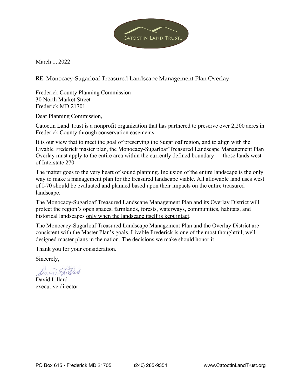

March 1, 2022

RE: Monocacy-Sugarloaf Treasured Landscape Management Plan Overlay

Frederick County Planning Commission 30 North Market Street Frederick MD 21701

Dear Planning Commission,

Catoctin Land Trust is a nonprofit organization that has partnered to preserve over 2,200 acres in Frederick County through conservation easements.

It is our view that to meet the goal of preserving the Sugarloaf region, and to align with the Livable Frederick master plan, the Monocacy-Sugarloaf Treasured Landscape Management Plan Overlay must apply to the entire area within the currently defined boundary — those lands west of Interstate 270.

The matter goes to the very heart of sound planning. Inclusion of the entire landscape is the only way to make a management plan for the treasured landscape viable. All allowable land uses west of I-70 should be evaluated and planned based upon their impacts on the entire treasured landscape.

The Monocacy-Sugarloaf Treasured Landscape Management Plan and its Overlay District will protect the region's open spaces, farmlands, forests, waterways, communities, habitats, and historical landscapes only when the landscape itself is kept intact.

The Monocacy-Sugarloaf Treasured Landscape Management Plan and the Overlay District are consistent with the Master Plan's goals. Livable Frederick is one of the most thoughtful, welldesigned master plans in the nation. The decisions we make should honor it.

Thank you for your consideration.

Sincerely,

David Lillard executive director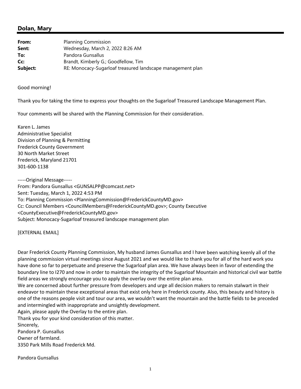# **Dolan, Mary**

| From:    | <b>Planning Commission</b>                                 |
|----------|------------------------------------------------------------|
| Sent:    | Wednesday, March 2, 2022 8:26 AM                           |
| To:      | Pandora Gunsallus                                          |
| Cc:      | Brandt, Kimberly G.; Goodfellow, Tim                       |
| Subject: | RE: Monocacy-Sugarloaf treasured landscape management plan |

Good morning!

Thank you for taking the time to express your thoughts on the Sugarloaf Treasured Landscape Management Plan.

Your comments will be shared with the Planning Commission for their consideration.

Karen L. James Administrative Specialist Division of Planning & Permitting Frederick County Government 30 North Market Street Frederick, Maryland 21701 301‐600‐1138

‐‐‐‐‐Original Message‐‐‐‐‐ From: Pandora Gunsallus <GUNSALPP@comcast.net> Sent: Tuesday, March 1, 2022 4:53 PM To: Planning Commission <PlanningCommission@FrederickCountyMD.gov> Cc: Council Members <CouncilMembers@FrederickCountyMD.gov>; County Executive <CountyExecutive@FrederickCountyMD.gov> Subject: Monocacy‐Sugarloaf treasured landscape management plan

[EXTERNAL EMAIL]

Dear Frederick County Planning Commission, My husband James Gunsallus and I have been watching keenly all of the planning commission virtual meetings since August 2021 and we would like to thank you for all of the hard work you have done so far to perpetuate and preserve the Sugarloaf plan area. We have always been in favor of extending the boundary line to I270 and now in order to maintain the integrity of the Sugarloaf Mountain and historical civil war battle field areas we strongly encourage you to apply the overlay over the entire plan area.

We are concerned about further pressure from developers and urge all decision makers to remain stalwart in their endeavor to maintain these exceptional areas that exist only here in Frederick county. Also, this beauty and history is one of the reasons people visit and tour our area, we wouldn't want the mountain and the battle fields to be preceded and intermingled with inappropriate and unsightly development.

Again, please apply the Overlay to the entire plan.

Thank you for your kind consideration of this matter.

Sincerely,

Pandora P. Gunsallus Owner of farmland.

3350 Park Mills Road Frederick Md.

Pandora Gunsallus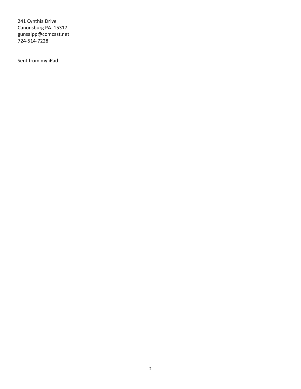241 Cynthia Drive Canonsburg PA. 15317 gunsalpp@comcast.net 724‐514‐7228

Sent from my iPad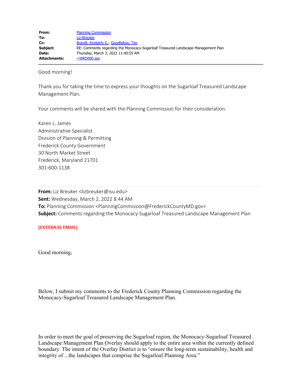| From:               | <b>Planning Commission</b>                                                        |
|---------------------|-----------------------------------------------------------------------------------|
| To:                 | <b>Liz Breuker</b>                                                                |
| Cc:                 | Brandt, Kimberly G., Goodfellow, Tim                                              |
| Subject:            | RE: Comments regarding the Monocacy-Sugarloaf Treasured Landscape Management Plan |
| Date:               | Thursday, March 3, 2022 11:40:55 AM                                               |
| <b>Attachments:</b> | $\sim$ WRD000.jpg                                                                 |

Good morning!

Thank you for taking the time to express your thoughts on the Sugarloaf Treasured Landscape Management Plan.

Your comments will be shared with the Planning Commission for their consideration.

Karen L. James Administrative Specialist Division of Planning & Permitting Frederick County Government 30 North Market Street Frederick, Maryland 21701 301-600-1138

**From:** Liz Breuker <lizbreuker@isu.edu> **Sent:** Wednesday, March 2, 2022 8:44 AM **To:** Planning Commission <PlanningCommission@FrederickCountyMD.gov> **Subject:** Comments regarding the Monocacy-Sugarloaf Treasured Landscape Management Plan

## **[EXTERNAL EMAIL]**

Good morning,

Below, I submit my comments to the Frederick County Planning Commission regarding the Monocacy-Sugarloaf Treasured Landscape Management Plan.

In order to meet the goal of preserving the Sugarloaf region, the Monocacy-Sugarloaf Treasured Landscape Management Plan Overlay should apply to the entire area within the currently defined boundary. The intent of the Overlay District is to "ensure the long-term sustainability, health and integrity of ...the landscapes that comprise the Sugarloaf Planning Area."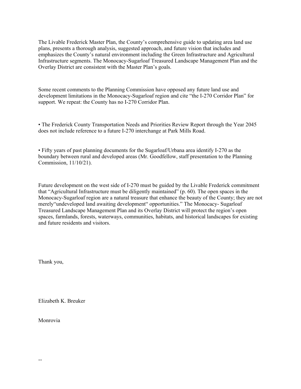The Livable Frederick Master Plan, the County's comprehensive guide to updating area land use plans, presents a thorough analysis, suggested approach, and future vision that includes and emphasizes the County's natural environment including the Green Infrastructure and Agricultural Infrastructure segments. The Monocacy-Sugarloaf Treasured Landscape Management Plan and the Overlay District are consistent with the Master Plan's goals.

Some recent comments to the Planning Commission have opposed any future land use and development limitations in the Monocacy-Sugarloaf region and cite "the I-270 Corridor Plan" for support. We repeat: the County has no I-270 Corridor Plan.

• The Frederick County Transportation Needs and Priorities Review Report through the Year 2045 does not include reference to a future I-270 interchange at Park Mills Road.

• Fifty years of past planning documents for the Sugarloaf/Urbana area identify I-270 as the boundary between rural and developed areas (Mr. Goodfellow, staff presentation to the Planning Commission, 11/10/21).

Future development on the west side of I-270 must be guided by the Livable Frederick commitment that "Agricultural Infrastructure must be diligently maintained" (p. 60). The open spaces in the Monocacy-Sugarloaf region are a natural treasure that enhance the beauty of the County; they are not merely"undeveloped land awaiting development" opportunities." The Monocacy- Sugarloaf Treasured Landscape Management Plan and its Overlay District will protect the region's open spaces, farmlands, forests, waterways, communities, habitats, and historical landscapes for existing and future residents and visitors.

Thank you,

Elizabeth K. Breuker

Monrovia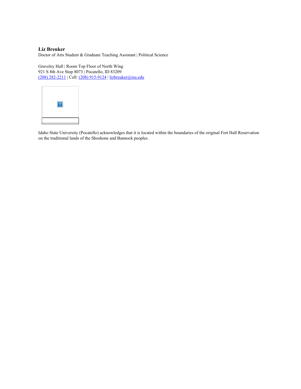#### **Liz Breuker**

Doctor of Arts Student & Graduate Teaching Assistant | Political Science

Graveley Hall | Room Top Floor of North Wing 921 S 8th Ave Stop 8073 | Pocatello, ID 83209 (208) [282-2211](tel:+1-(208)+282-2211) | Cell: (208) [915-9124](tel:+1-(208)+915-9124) | [lizbreuker@isu.edu](mailto:lizbreuker@isu.edu)



Idaho State University (Pocatello) acknowledges that it is located within the boundaries of the original Fort Hall Reservation on the traditional lands of the Shoshone and Bannock peoples.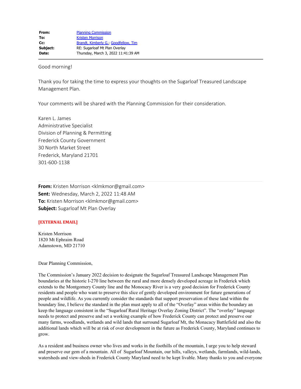Good morning!

Thank you for taking the time to express your thoughts on the Sugarloaf Treasured Landscape Management Plan.

Your comments will be shared with the Planning Commission for their consideration.

Karen L. James Administrative Specialist Division of Planning & Permitting Frederick County Government 30 North Market Street Frederick, Maryland 21701 301-600-1138

**From:** Kristen Morrison <klmkmor@gmail.com> **Sent:** Wednesday, March 2, 2022 11:48 AM **To:** Kristen Morrison <klmkmor@gmail.com> **Subject:** Sugarloaf Mt Plan Overlay

#### **[EXTERNAL EMAIL]**

Kristen Morrison 1820 Mt Ephraim Road Adamstown, MD 21710

Dear Planning Commission,

The Commission's January 2022 decision to designate the Sugarloaf Treasured Landscape Management Plan boundaries at the historic I-270 line between the rural and more densely developed acreage in Frederick which extends to the Montgomery County line and the Monocacy River is a very good decision for Frederick County residents and people who want to preserve this slice of gently developed environment for future generations of people and wildlife. As you currently consider the standards that support preservation of these land within the boundary line, I believe the standard in the plan must apply to all of the "Overlay" areas within the boundary an keep the language consistent in the "Sugarloaf Rural Heritage Overlay Zoning District". The "overlay" language needs to protect and preserve and set a working example of how Frederick County can protect and preserve our many farms, woodlands, wetlands and wild lands that surround Sugarloaf Mt, the Monacacy Battlefield and also the additional lands which will be at risk of over development in the future as Frederick County, Maryland continues to grow.

As a resident and business owner who lives and works in the foothills of the mountain, I urge you to help steward and preserve our gem of a mountain. All of Sugarloaf Mountain, our hills, valleys, wetlands, farmlands, wild-lands, watersheds and view-sheds in Frederick County Maryland need to be kept livable. Many thanks to you and everyone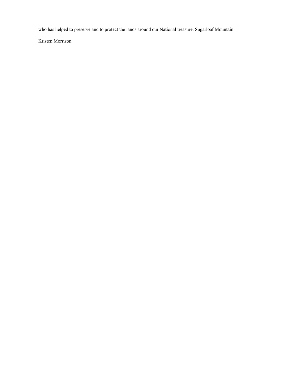who has helped to preserve and to protect the lands around our National treasure, Sugarloaf Mountain.

Kristen Morrison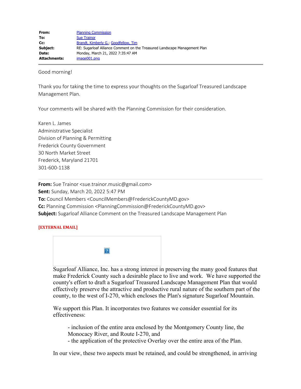| From:               | <b>Planning Commission</b>                                                |
|---------------------|---------------------------------------------------------------------------|
| To:                 | <b>Sue Trainor</b>                                                        |
| Cc:                 | Brandt, Kimberly G., Goodfellow, Tim                                      |
| Subject:            | RE: Sugarloaf Alliance Comment on the Treasured Landscape Management Plan |
| Date:               | Monday, March 21, 2022 7:35:47 AM                                         |
| <b>Attachments:</b> | $imae001.$ pna                                                            |

Good morning!

Thank you for taking the time to express your thoughts on the Sugarloaf Treasured Landscape Management Plan.

Your comments will be shared with the Planning Commission for their consideration.

Karen L. James Administrative Specialist Division of Planning & Permitting Frederick County Government 30 North Market Street Frederick, Maryland 21701 301-600-1138

**From:** Sue Trainor <sue.trainor.music@gmail.com> **Sent:** Sunday, March 20, 2022 5:47 PM **To:** Council Members <CouncilMembers@FrederickCountyMD.gov> **Cc:** Planning Commission <PlanningCommission@FrederickCountyMD.gov> **Subject:** Sugarloaf Alliance Comment on the Treasured Landscape Management Plan

## **[EXTERNAL EMAIL]**



Sugarloaf Alliance, Inc. has a strong interest in preserving the many good features that make Frederick County such a desirable place to live and work. We have supported the county's effort to draft a Sugarloaf Treasured Landscape Management Plan that would effectively preserve the attractive and productive rural nature of the southern part of the county, to the west of I-270, which encloses the Plan's signature Sugarloaf Mountain.

We support this Plan. It incorporates two features we consider essential for its effectiveness:

- inclusion of the entire area enclosed by the Montgomery County line, the Monocacy River, and Route I-270, and

- the application of the protective Overlay over the entire area of the Plan.

In our view, these two aspects must be retained, and could be strengthened, in arriving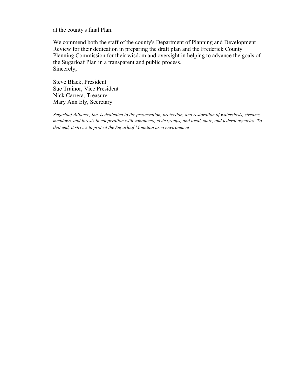at the county's final Plan.

We commend both the staff of the county's Department of Planning and Development Review for their dedication in preparing the draft plan and the Frederick County Planning Commission for their wisdom and oversight in helping to advance the goals of the Sugarloaf Plan in a transparent and public process. Sincerely,

Steve Black, President Sue Trainor, Vice President Nick Carrera, Treasurer Mary Ann Ely, Secretary

*Sugarloaf Alliance, Inc. is dedicated to the preservation, protection, and restoration of watersheds, streams, meadows, and forests in cooperation with volunteers, civic groups, and local, state, and federal agencies. To that end, it strives to protect the Sugarloaf Mountain area environment*